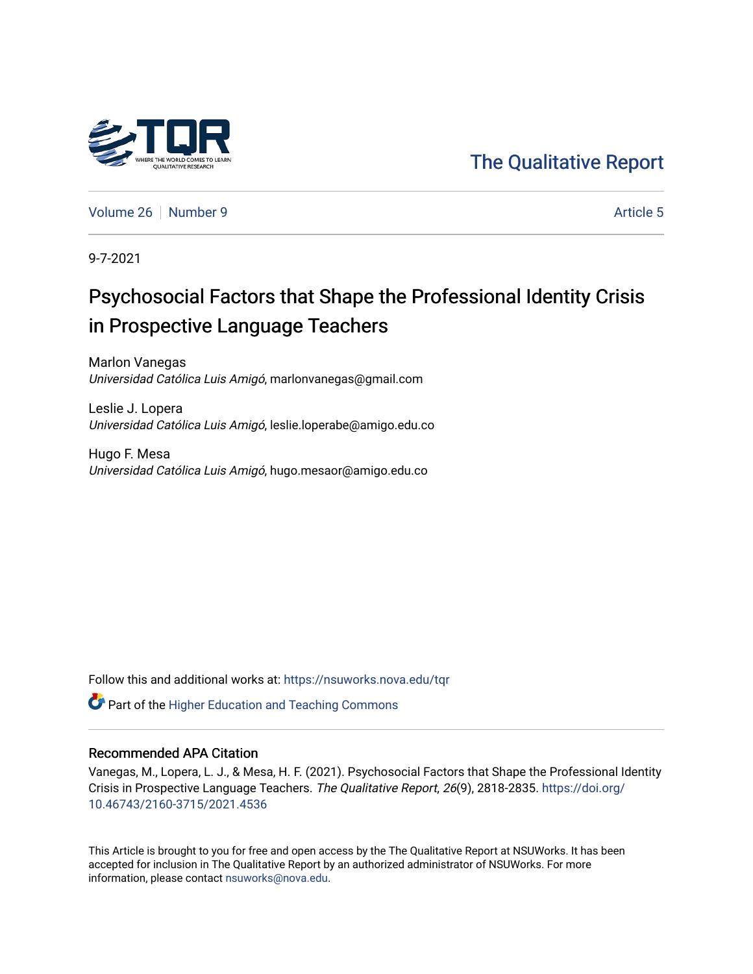

[The Qualitative Report](https://nsuworks.nova.edu/tqr) 

[Volume 26](https://nsuworks.nova.edu/tqr/vol26) [Number 9](https://nsuworks.nova.edu/tqr/vol26/iss9) Article 5

9-7-2021

# Psychosocial Factors that Shape the Professional Identity Crisis in Prospective Language Teachers

Marlon Vanegas Universidad Católica Luis Amigó, marlonvanegas@gmail.com

Leslie J. Lopera Universidad Católica Luis Amigó, leslie.loperabe@amigo.edu.co

Hugo F. Mesa Universidad Católica Luis Amigó, hugo.mesaor@amigo.edu.co

Follow this and additional works at: [https://nsuworks.nova.edu/tqr](https://nsuworks.nova.edu/tqr?utm_source=nsuworks.nova.edu%2Ftqr%2Fvol26%2Fiss9%2F5&utm_medium=PDF&utm_campaign=PDFCoverPages) 

**C** Part of the Higher Education and Teaching Commons

# Recommended APA Citation

Vanegas, M., Lopera, L. J., & Mesa, H. F. (2021). Psychosocial Factors that Shape the Professional Identity Crisis in Prospective Language Teachers. The Qualitative Report, 26(9), 2818-2835. [https://doi.org/](https://doi.org/10.46743/2160-3715/2021.4536) [10.46743/2160-3715/2021.4536](https://doi.org/10.46743/2160-3715/2021.4536)

This Article is brought to you for free and open access by the The Qualitative Report at NSUWorks. It has been accepted for inclusion in The Qualitative Report by an authorized administrator of NSUWorks. For more information, please contact [nsuworks@nova.edu.](mailto:nsuworks@nova.edu)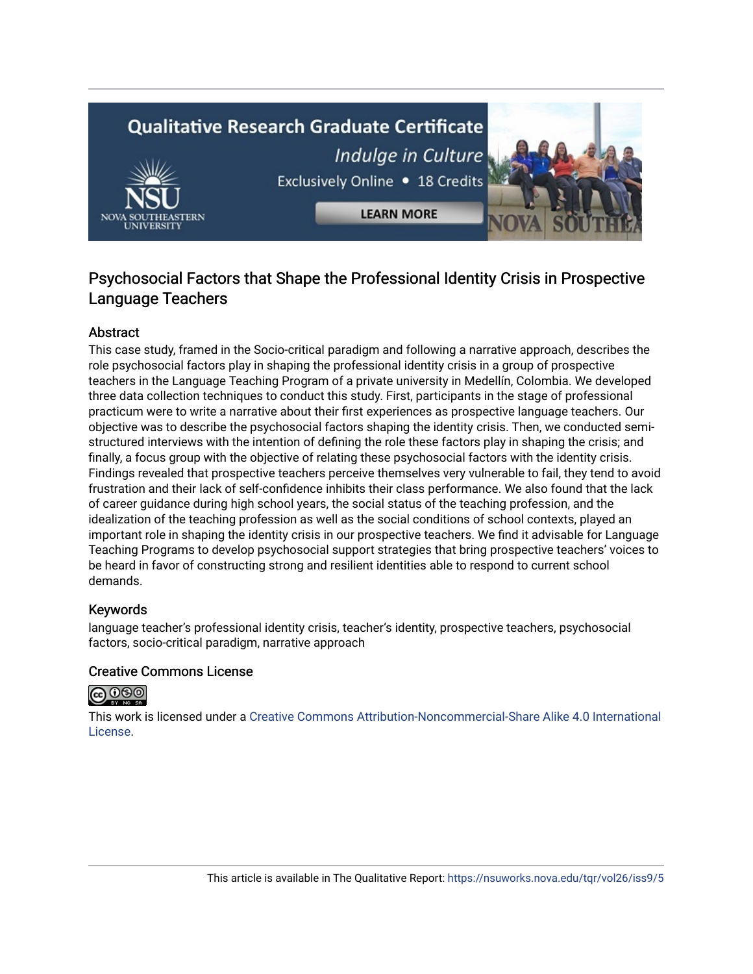# **Qualitative Research Graduate Certificate** Indulge in Culture Exclusively Online . 18 Credits **LEARN MORE**



# Abstract

This case study, framed in the Socio-critical paradigm and following a narrative approach, describes the role psychosocial factors play in shaping the professional identity crisis in a group of prospective teachers in the Language Teaching Program of a private university in Medellín, Colombia. We developed three data collection techniques to conduct this study. First, participants in the stage of professional practicum were to write a narrative about their first experiences as prospective language teachers. Our objective was to describe the psychosocial factors shaping the identity crisis. Then, we conducted semistructured interviews with the intention of defining the role these factors play in shaping the crisis; and finally, a focus group with the objective of relating these psychosocial factors with the identity crisis. Findings revealed that prospective teachers perceive themselves very vulnerable to fail, they tend to avoid frustration and their lack of self-confidence inhibits their class performance. We also found that the lack of career guidance during high school years, the social status of the teaching profession, and the idealization of the teaching profession as well as the social conditions of school contexts, played an important role in shaping the identity crisis in our prospective teachers. We find it advisable for Language Teaching Programs to develop psychosocial support strategies that bring prospective teachers' voices to be heard in favor of constructing strong and resilient identities able to respond to current school demands.

# Keywords

language teacher's professional identity crisis, teacher's identity, prospective teachers, psychosocial factors, socio-critical paradigm, narrative approach

#### Creative Commons License



This work is licensed under a [Creative Commons Attribution-Noncommercial-Share Alike 4.0 International](https://creativecommons.org/licenses/by-nc-sa/4.0/)  [License](https://creativecommons.org/licenses/by-nc-sa/4.0/).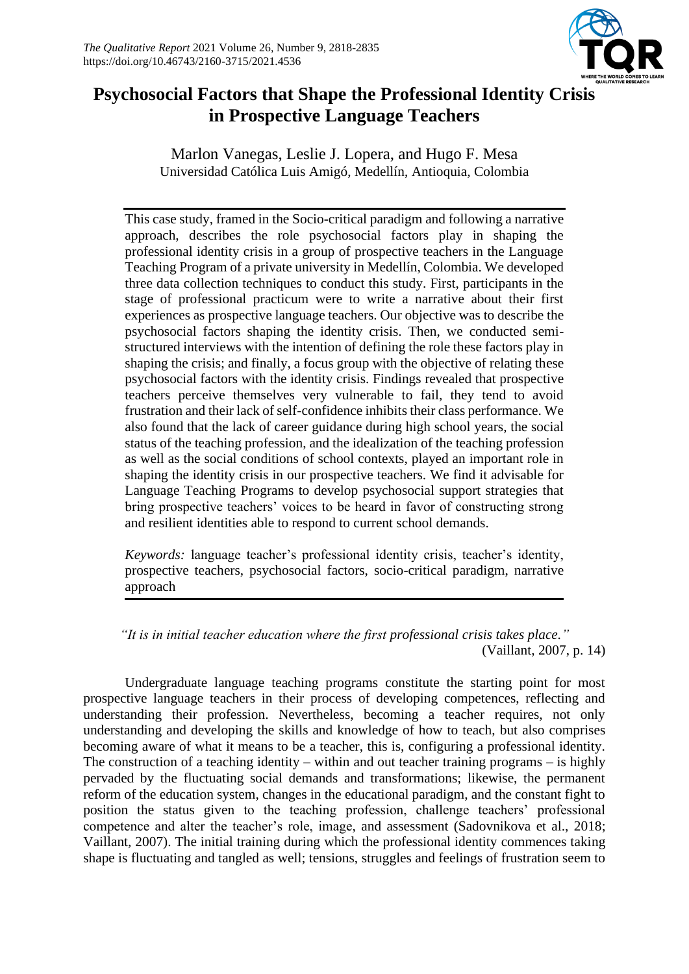

# **Psychosocial Factors that Shape the Professional Identity Crisis in Prospective Language Teachers**

Marlon Vanegas, Leslie J. Lopera, and Hugo F. Mesa Universidad Católica Luis Amigó, Medellín, Antioquia, Colombia

This case study, framed in the Socio-critical paradigm and following a narrative approach, describes the role psychosocial factors play in shaping the professional identity crisis in a group of prospective teachers in the Language Teaching Program of a private university in Medellín, Colombia. We developed three data collection techniques to conduct this study. First, participants in the stage of professional practicum were to write a narrative about their first experiences as prospective language teachers. Our objective was to describe the psychosocial factors shaping the identity crisis. Then, we conducted semistructured interviews with the intention of defining the role these factors play in shaping the crisis; and finally, a focus group with the objective of relating these psychosocial factors with the identity crisis. Findings revealed that prospective teachers perceive themselves very vulnerable to fail, they tend to avoid frustration and their lack of self-confidence inhibits their class performance. We also found that the lack of career guidance during high school years, the social status of the teaching profession, and the idealization of the teaching profession as well as the social conditions of school contexts, played an important role in shaping the identity crisis in our prospective teachers. We find it advisable for Language Teaching Programs to develop psychosocial support strategies that bring prospective teachers' voices to be heard in favor of constructing strong and resilient identities able to respond to current school demands.

*Keywords:* language teacher's professional identity crisis, teacher's identity, prospective teachers, psychosocial factors, socio-critical paradigm, narrative approach

*"It is in initial teacher education where the first professional crisis takes place."* (Vaillant, 2007, p. 14)

Undergraduate language teaching programs constitute the starting point for most prospective language teachers in their process of developing competences, reflecting and understanding their profession. Nevertheless, becoming a teacher requires, not only understanding and developing the skills and knowledge of how to teach, but also comprises becoming aware of what it means to be a teacher, this is, configuring a professional identity. The construction of a teaching identity – within and out teacher training programs – is highly pervaded by the fluctuating social demands and transformations; likewise, the permanent reform of the education system, changes in the educational paradigm, and the constant fight to position the status given to the teaching profession, challenge teachers' professional competence and alter the teacher's role, image, and assessment (Sadovnikova et al., 2018; Vaillant, 2007). The initial training during which the professional identity commences taking shape is fluctuating and tangled as well; tensions, struggles and feelings of frustration seem to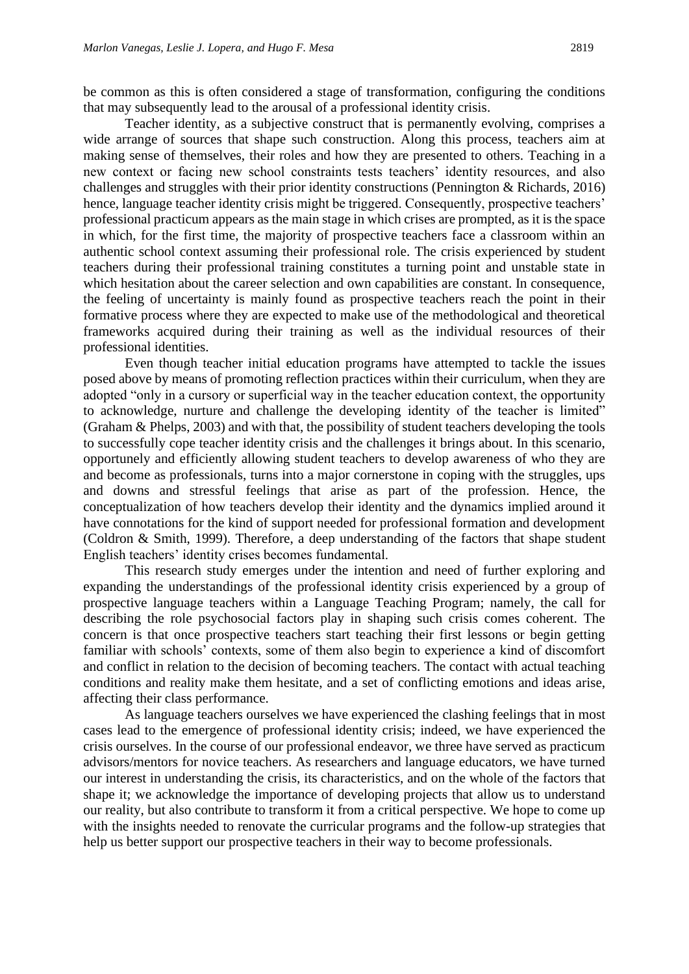be common as this is often considered a stage of transformation, configuring the conditions that may subsequently lead to the arousal of a professional identity crisis.

Teacher identity, as a subjective construct that is permanently evolving, comprises a wide arrange of sources that shape such construction. Along this process, teachers aim at making sense of themselves, their roles and how they are presented to others. Teaching in a new context or facing new school constraints tests teachers' identity resources, and also challenges and struggles with their prior identity constructions (Pennington & Richards, 2016) hence, language teacher identity crisis might be triggered. Consequently, prospective teachers' professional practicum appears as the main stage in which crises are prompted, as it is the space in which, for the first time, the majority of prospective teachers face a classroom within an authentic school context assuming their professional role. The crisis experienced by student teachers during their professional training constitutes a turning point and unstable state in which hesitation about the career selection and own capabilities are constant. In consequence, the feeling of uncertainty is mainly found as prospective teachers reach the point in their formative process where they are expected to make use of the methodological and theoretical frameworks acquired during their training as well as the individual resources of their professional identities.

Even though teacher initial education programs have attempted to tackle the issues posed above by means of promoting reflection practices within their curriculum, when they are adopted "only in a cursory or superficial way in the teacher education context, the opportunity to acknowledge, nurture and challenge the developing identity of the teacher is limited" (Graham & Phelps, 2003) and with that, the possibility of student teachers developing the tools to successfully cope teacher identity crisis and the challenges it brings about. In this scenario, opportunely and efficiently allowing student teachers to develop awareness of who they are and become as professionals, turns into a major cornerstone in coping with the struggles, ups and downs and stressful feelings that arise as part of the profession. Hence, the conceptualization of how teachers develop their identity and the dynamics implied around it have connotations for the kind of support needed for professional formation and development (Coldron & Smith, 1999). Therefore, a deep understanding of the factors that shape student English teachers' identity crises becomes fundamental.

This research study emerges under the intention and need of further exploring and expanding the understandings of the professional identity crisis experienced by a group of prospective language teachers within a Language Teaching Program; namely, the call for describing the role psychosocial factors play in shaping such crisis comes coherent. The concern is that once prospective teachers start teaching their first lessons or begin getting familiar with schools' contexts, some of them also begin to experience a kind of discomfort and conflict in relation to the decision of becoming teachers. The contact with actual teaching conditions and reality make them hesitate, and a set of conflicting emotions and ideas arise, affecting their class performance.

As language teachers ourselves we have experienced the clashing feelings that in most cases lead to the emergence of professional identity crisis; indeed, we have experienced the crisis ourselves. In the course of our professional endeavor, we three have served as practicum advisors/mentors for novice teachers. As researchers and language educators, we have turned our interest in understanding the crisis, its characteristics, and on the whole of the factors that shape it; we acknowledge the importance of developing projects that allow us to understand our reality, but also contribute to transform it from a critical perspective. We hope to come up with the insights needed to renovate the curricular programs and the follow-up strategies that help us better support our prospective teachers in their way to become professionals.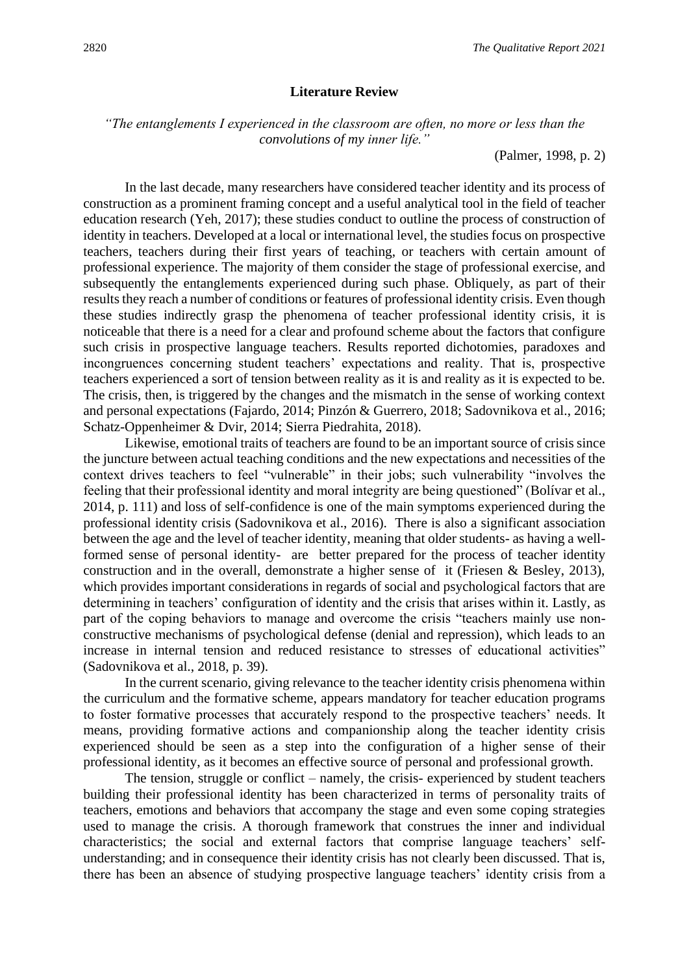#### **Literature Review**

*"The entanglements I experienced in the classroom are often, no more or less than the convolutions of my inner life."*

(Palmer, 1998, p. 2)

In the last decade, many researchers have considered teacher identity and its process of construction as a prominent framing concept and a useful analytical tool in the field of teacher education research (Yeh, 2017); these studies conduct to outline the process of construction of identity in teachers. Developed at a local or international level, the studies focus on prospective teachers, teachers during their first years of teaching, or teachers with certain amount of professional experience. The majority of them consider the stage of professional exercise, and subsequently the entanglements experienced during such phase. Obliquely, as part of their results they reach a number of conditions or features of professional identity crisis. Even though these studies indirectly grasp the phenomena of teacher professional identity crisis, it is noticeable that there is a need for a clear and profound scheme about the factors that configure such crisis in prospective language teachers. Results reported dichotomies, paradoxes and incongruences concerning student teachers' expectations and reality. That is, prospective teachers experienced a sort of tension between reality as it is and reality as it is expected to be. The crisis, then, is triggered by the changes and the mismatch in the sense of working context and personal expectations (Fajardo, 2014; Pinzón & Guerrero, 2018; Sadovnikova et al., 2016; Schatz-Oppenheimer & Dvir, 2014; Sierra Piedrahita, 2018).

Likewise, emotional traits of teachers are found to be an important source of crisis since the juncture between actual teaching conditions and the new expectations and necessities of the context drives teachers to feel "vulnerable" in their jobs; such vulnerability "involves the feeling that their professional identity and moral integrity are being questioned" (Bolívar et al., 2014, p. 111) and loss of self-confidence is one of the main symptoms experienced during the professional identity crisis (Sadovnikova et al., 2016). There is also a significant association between the age and the level of teacher identity, meaning that older students- as having a wellformed sense of personal identity- are better prepared for the process of teacher identity construction and in the overall, demonstrate a higher sense of it (Friesen & Besley, 2013), which provides important considerations in regards of social and psychological factors that are determining in teachers' configuration of identity and the crisis that arises within it. Lastly, as part of the coping behaviors to manage and overcome the crisis "teachers mainly use nonconstructive mechanisms of psychological defense (denial and repression), which leads to an increase in internal tension and reduced resistance to stresses of educational activities" (Sadovnikova et al., 2018, p. 39).

In the current scenario, giving relevance to the teacher identity crisis phenomena within the curriculum and the formative scheme, appears mandatory for teacher education programs to foster formative processes that accurately respond to the prospective teachers' needs. It means, providing formative actions and companionship along the teacher identity crisis experienced should be seen as a step into the configuration of a higher sense of their professional identity, as it becomes an effective source of personal and professional growth.

The tension, struggle or conflict – namely, the crisis- experienced by student teachers building their professional identity has been characterized in terms of personality traits of teachers, emotions and behaviors that accompany the stage and even some coping strategies used to manage the crisis. A thorough framework that construes the inner and individual characteristics; the social and external factors that comprise language teachers' selfunderstanding; and in consequence their identity crisis has not clearly been discussed. That is, there has been an absence of studying prospective language teachers' identity crisis from a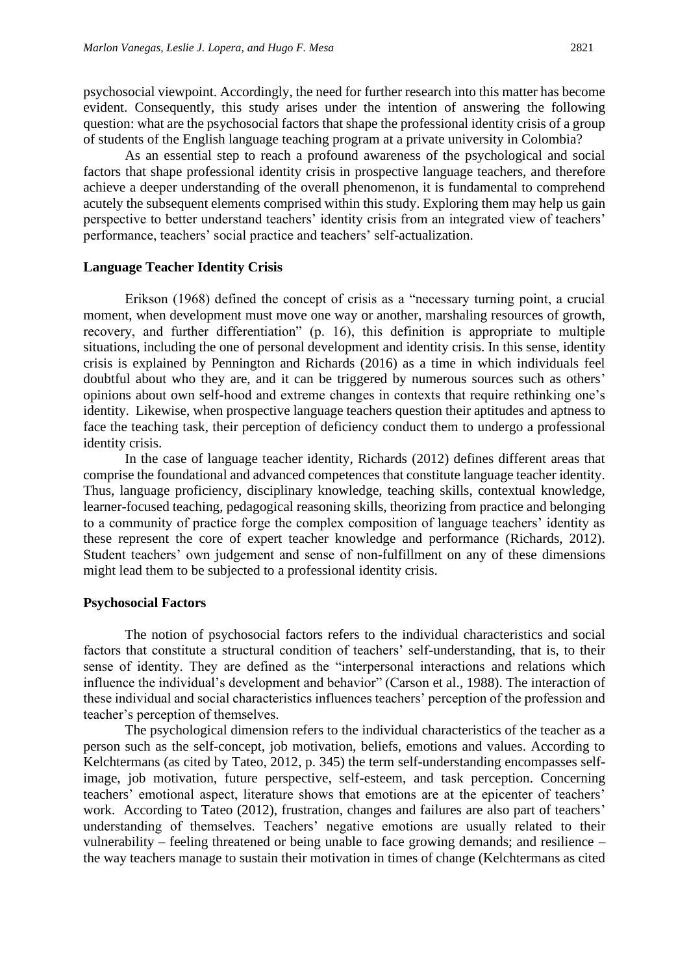psychosocial viewpoint. Accordingly, the need for further research into this matter has become evident. Consequently, this study arises under the intention of answering the following question: what are the psychosocial factors that shape the professional identity crisis of a group of students of the English language teaching program at a private university in Colombia?

As an essential step to reach a profound awareness of the psychological and social factors that shape professional identity crisis in prospective language teachers, and therefore achieve a deeper understanding of the overall phenomenon, it is fundamental to comprehend acutely the subsequent elements comprised within this study. Exploring them may help us gain perspective to better understand teachers' identity crisis from an integrated view of teachers' performance, teachers' social practice and teachers' self-actualization.

#### **Language Teacher Identity Crisis**

Erikson (1968) defined the concept of crisis as a "necessary turning point, a crucial moment, when development must move one way or another, marshaling resources of growth, recovery, and further differentiation" (p. 16), this definition is appropriate to multiple situations, including the one of personal development and identity crisis. In this sense, identity crisis is explained by Pennington and Richards (2016) as a time in which individuals feel doubtful about who they are, and it can be triggered by numerous sources such as others' opinions about own self-hood and extreme changes in contexts that require rethinking one's identity. Likewise, when prospective language teachers question their aptitudes and aptness to face the teaching task, their perception of deficiency conduct them to undergo a professional identity crisis.

In the case of language teacher identity, Richards (2012) defines different areas that comprise the foundational and advanced competences that constitute language teacher identity. Thus, language proficiency, disciplinary knowledge, teaching skills, contextual knowledge, learner-focused teaching, pedagogical reasoning skills, theorizing from practice and belonging to a community of practice forge the complex composition of language teachers' identity as these represent the core of expert teacher knowledge and performance (Richards, 2012). Student teachers' own judgement and sense of non-fulfillment on any of these dimensions might lead them to be subjected to a professional identity crisis.

## **Psychosocial Factors**

The notion of psychosocial factors refers to the individual characteristics and social factors that constitute a structural condition of teachers' self-understanding, that is, to their sense of identity. They are defined as the "interpersonal interactions and relations which influence the individual's development and behavior" (Carson et al., 1988). The interaction of these individual and social characteristics influences teachers' perception of the profession and teacher's perception of themselves.

The psychological dimension refers to the individual characteristics of the teacher as a person such as the self-concept, job motivation, beliefs, emotions and values. According to Kelchtermans (as cited by Tateo, 2012, p. 345) the term self-understanding encompasses selfimage, job motivation, future perspective, self-esteem, and task perception. Concerning teachers' emotional aspect, literature shows that emotions are at the epicenter of teachers' work. According to Tateo (2012), frustration, changes and failures are also part of teachers' understanding of themselves. Teachers' negative emotions are usually related to their vulnerability – feeling threatened or being unable to face growing demands; and resilience – the way teachers manage to sustain their motivation in times of change (Kelchtermans as cited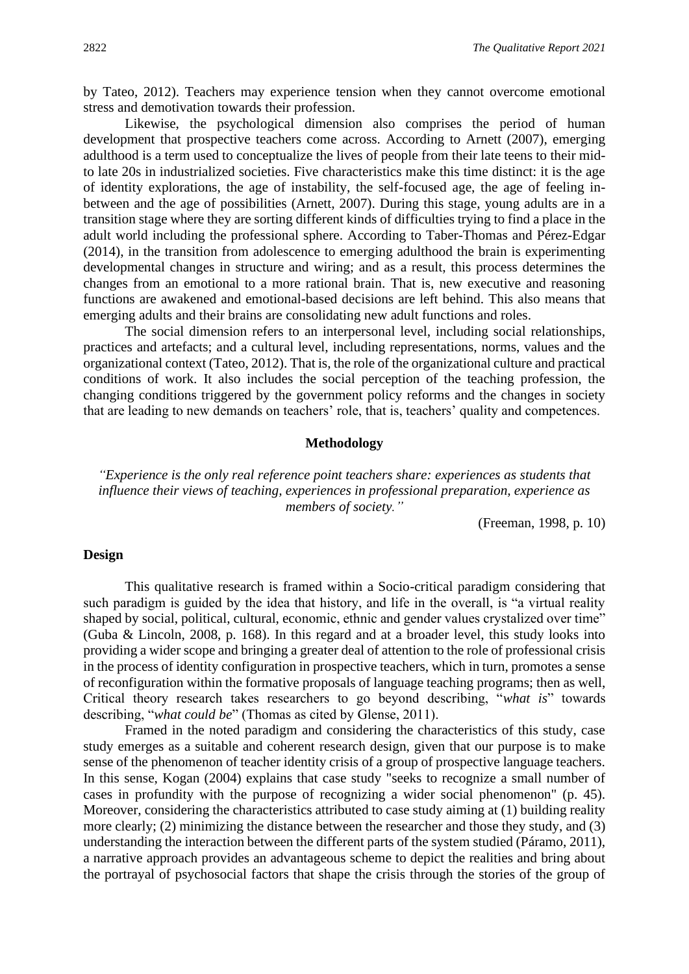by Tateo, 2012). Teachers may experience tension when they cannot overcome emotional stress and demotivation towards their profession.

Likewise, the psychological dimension also comprises the period of human development that prospective teachers come across. According to Arnett (2007), emerging adulthood is a term used to conceptualize the lives of people from their late teens to their midto late 20s in industrialized societies. Five characteristics make this time distinct: it is the age of identity explorations, the age of instability, the self-focused age, the age of feeling inbetween and the age of possibilities (Arnett, 2007). During this stage, young adults are in a transition stage where they are sorting different kinds of difficulties trying to find a place in the adult world including the professional sphere. According to Taber-Thomas and Pérez-Edgar (2014), in the transition from adolescence to emerging adulthood the brain is experimenting developmental changes in structure and wiring; and as a result, this process determines the changes from an emotional to a more rational brain. That is, new executive and reasoning functions are awakened and emotional-based decisions are left behind. This also means that emerging adults and their brains are consolidating new adult functions and roles.

The social dimension refers to an interpersonal level, including social relationships, practices and artefacts; and a cultural level, including representations, norms, values and the organizational context (Tateo, 2012). That is, the role of the organizational culture and practical conditions of work. It also includes the social perception of the teaching profession, the changing conditions triggered by the government policy reforms and the changes in society that are leading to new demands on teachers' role, that is, teachers' quality and competences.

#### **Methodology**

*"Experience is the only real reference point teachers share: experiences as students that influence their views of teaching, experiences in professional preparation, experience as members of society."*

(Freeman, 1998, p. 10)

#### **Design**

This qualitative research is framed within a Socio-critical paradigm considering that such paradigm is guided by the idea that history, and life in the overall, is "a virtual reality shaped by social, political, cultural, economic, ethnic and gender values crystalized over time" (Guba & Lincoln, 2008, p. 168). In this regard and at a broader level, this study looks into providing a wider scope and bringing a greater deal of attention to the role of professional crisis in the process of identity configuration in prospective teachers, which in turn, promotes a sense of reconfiguration within the formative proposals of language teaching programs; then as well, Critical theory research takes researchers to go beyond describing, "*what is*" towards describing, "*what could be*" (Thomas as cited by Glense, 2011).

Framed in the noted paradigm and considering the characteristics of this study, case study emerges as a suitable and coherent research design, given that our purpose is to make sense of the phenomenon of teacher identity crisis of a group of prospective language teachers. In this sense, Kogan (2004) explains that case study "seeks to recognize a small number of cases in profundity with the purpose of recognizing a wider social phenomenon" (p. 45). Moreover, considering the characteristics attributed to case study aiming at (1) building reality more clearly; (2) minimizing the distance between the researcher and those they study, and (3) understanding the interaction between the different parts of the system studied (Páramo, 2011), a narrative approach provides an advantageous scheme to depict the realities and bring about the portrayal of psychosocial factors that shape the crisis through the stories of the group of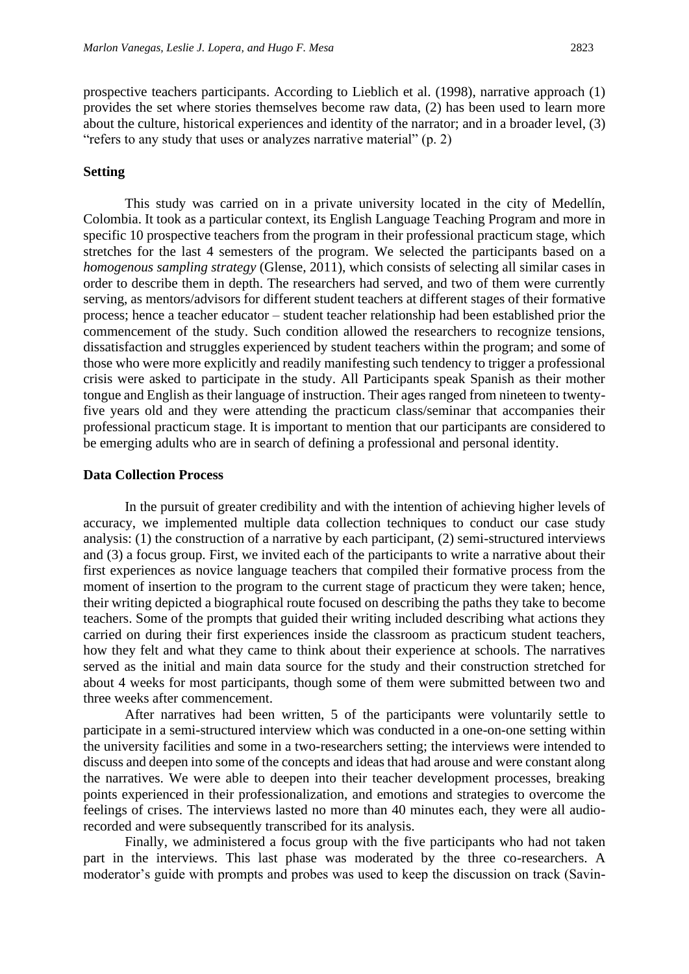prospective teachers participants. According to Lieblich et al. (1998), narrative approach (1) provides the set where stories themselves become raw data, (2) has been used to learn more about the culture, historical experiences and identity of the narrator; and in a broader level, (3) "refers to any study that uses or analyzes narrative material" (p. 2)

### **Setting**

This study was carried on in a private university located in the city of Medellín, Colombia. It took as a particular context, its English Language Teaching Program and more in specific 10 prospective teachers from the program in their professional practicum stage, which stretches for the last 4 semesters of the program. We selected the participants based on a *homogenous sampling strategy* (Glense, 2011), which consists of selecting all similar cases in order to describe them in depth. The researchers had served, and two of them were currently serving, as mentors/advisors for different student teachers at different stages of their formative process; hence a teacher educator – student teacher relationship had been established prior the commencement of the study. Such condition allowed the researchers to recognize tensions, dissatisfaction and struggles experienced by student teachers within the program; and some of those who were more explicitly and readily manifesting such tendency to trigger a professional crisis were asked to participate in the study. All Participants speak Spanish as their mother tongue and English as their language of instruction. Their ages ranged from nineteen to twentyfive years old and they were attending the practicum class/seminar that accompanies their professional practicum stage. It is important to mention that our participants are considered to be emerging adults who are in search of defining a professional and personal identity.

#### **Data Collection Process**

In the pursuit of greater credibility and with the intention of achieving higher levels of accuracy, we implemented multiple data collection techniques to conduct our case study analysis: (1) the construction of a narrative by each participant, (2) semi-structured interviews and (3) a focus group. First, we invited each of the participants to write a narrative about their first experiences as novice language teachers that compiled their formative process from the moment of insertion to the program to the current stage of practicum they were taken; hence, their writing depicted a biographical route focused on describing the paths they take to become teachers. Some of the prompts that guided their writing included describing what actions they carried on during their first experiences inside the classroom as practicum student teachers, how they felt and what they came to think about their experience at schools. The narratives served as the initial and main data source for the study and their construction stretched for about 4 weeks for most participants, though some of them were submitted between two and three weeks after commencement.

After narratives had been written, 5 of the participants were voluntarily settle to participate in a semi-structured interview which was conducted in a one-on-one setting within the university facilities and some in a two-researchers setting; the interviews were intended to discuss and deepen into some of the concepts and ideas that had arouse and were constant along the narratives. We were able to deepen into their teacher development processes, breaking points experienced in their professionalization, and emotions and strategies to overcome the feelings of crises. The interviews lasted no more than 40 minutes each, they were all audiorecorded and were subsequently transcribed for its analysis.

Finally, we administered a focus group with the five participants who had not taken part in the interviews. This last phase was moderated by the three co-researchers. A moderator's guide with prompts and probes was used to keep the discussion on track (Savin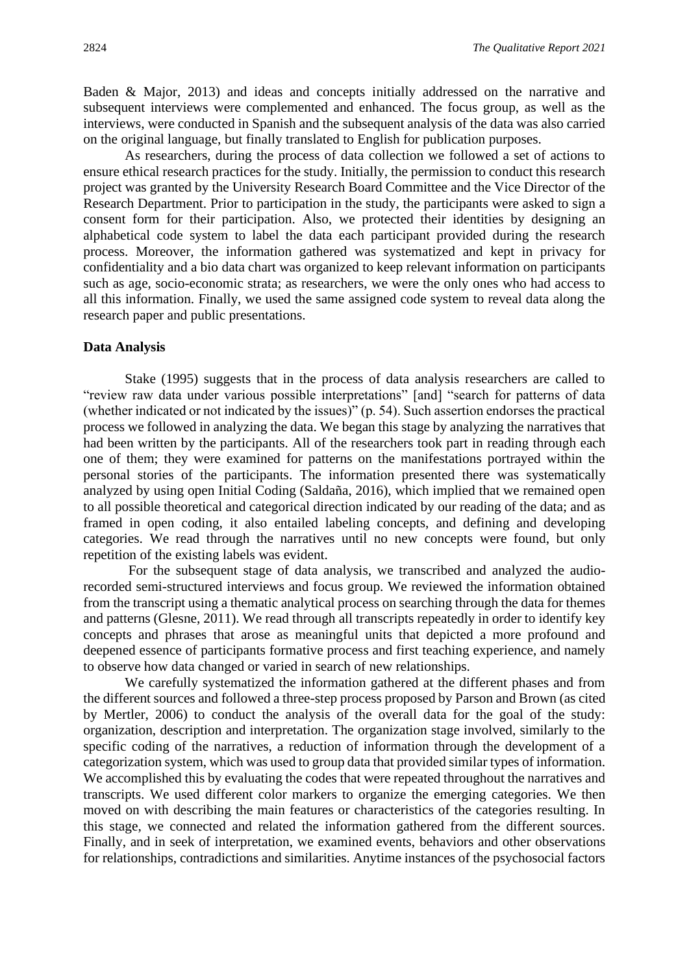Baden & Major, 2013) and ideas and concepts initially addressed on the narrative and subsequent interviews were complemented and enhanced. The focus group, as well as the interviews, were conducted in Spanish and the subsequent analysis of the data was also carried on the original language, but finally translated to English for publication purposes.

As researchers, during the process of data collection we followed a set of actions to ensure ethical research practices for the study. Initially, the permission to conduct this research project was granted by the University Research Board Committee and the Vice Director of the Research Department. Prior to participation in the study, the participants were asked to sign a consent form for their participation. Also, we protected their identities by designing an alphabetical code system to label the data each participant provided during the research process. Moreover, the information gathered was systematized and kept in privacy for confidentiality and a bio data chart was organized to keep relevant information on participants such as age, socio-economic strata; as researchers, we were the only ones who had access to all this information. Finally, we used the same assigned code system to reveal data along the research paper and public presentations.

#### **Data Analysis**

Stake (1995) suggests that in the process of data analysis researchers are called to "review raw data under various possible interpretations" [and] "search for patterns of data (whether indicated or not indicated by the issues)" (p. 54). Such assertion endorses the practical process we followed in analyzing the data. We began this stage by analyzing the narratives that had been written by the participants. All of the researchers took part in reading through each one of them; they were examined for patterns on the manifestations portrayed within the personal stories of the participants. The information presented there was systematically analyzed by using open Initial Coding (Saldaña, 2016), which implied that we remained open to all possible theoretical and categorical direction indicated by our reading of the data; and as framed in open coding, it also entailed labeling concepts, and defining and developing categories. We read through the narratives until no new concepts were found, but only repetition of the existing labels was evident.

For the subsequent stage of data analysis, we transcribed and analyzed the audiorecorded semi-structured interviews and focus group. We reviewed the information obtained from the transcript using a thematic analytical process on searching through the data for themes and patterns (Glesne, 2011). We read through all transcripts repeatedly in order to identify key concepts and phrases that arose as meaningful units that depicted a more profound and deepened essence of participants formative process and first teaching experience, and namely to observe how data changed or varied in search of new relationships.

We carefully systematized the information gathered at the different phases and from the different sources and followed a three-step process proposed by Parson and Brown (as cited by Mertler, 2006) to conduct the analysis of the overall data for the goal of the study: organization, description and interpretation. The organization stage involved, similarly to the specific coding of the narratives, a reduction of information through the development of a categorization system, which was used to group data that provided similar types of information. We accomplished this by evaluating the codes that were repeated throughout the narratives and transcripts. We used different color markers to organize the emerging categories. We then moved on with describing the main features or characteristics of the categories resulting. In this stage, we connected and related the information gathered from the different sources. Finally, and in seek of interpretation, we examined events, behaviors and other observations for relationships, contradictions and similarities. Anytime instances of the psychosocial factors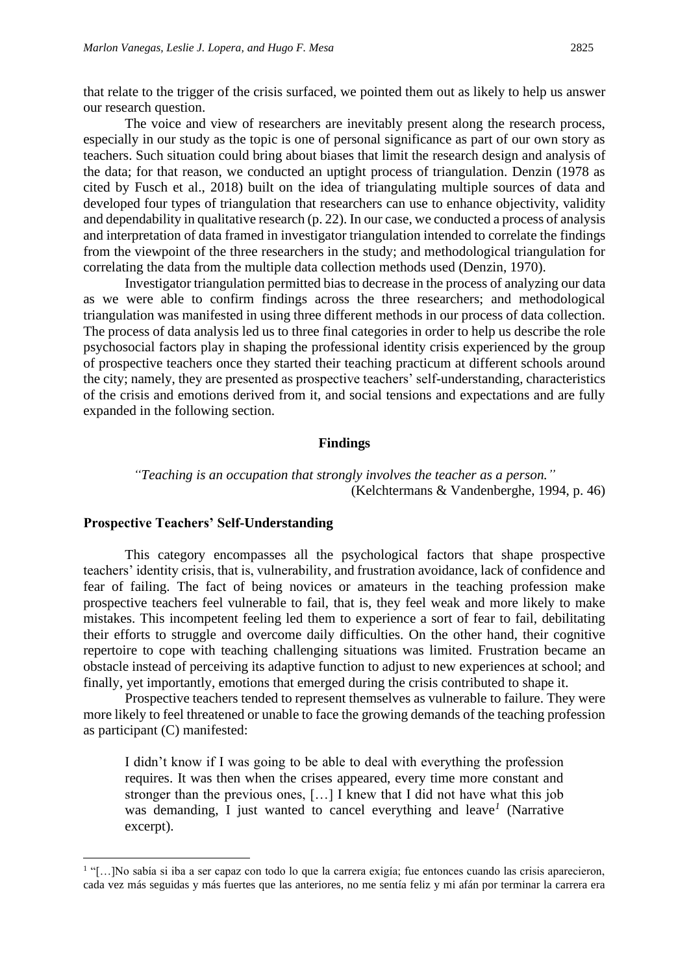that relate to the trigger of the crisis surfaced, we pointed them out as likely to help us answer our research question.

The voice and view of researchers are inevitably present along the research process, especially in our study as the topic is one of personal significance as part of our own story as teachers. Such situation could bring about biases that limit the research design and analysis of the data; for that reason, we conducted an uptight process of triangulation. Denzin (1978 as cited by Fusch et al., 2018) built on the idea of triangulating multiple sources of data and developed four types of triangulation that researchers can use to enhance objectivity, validity and dependability in qualitative research (p. 22). In our case, we conducted a process of analysis and interpretation of data framed in investigator triangulation intended to correlate the findings from the viewpoint of the three researchers in the study; and methodological triangulation for correlating the data from the multiple data collection methods used (Denzin, 1970).

Investigator triangulation permitted bias to decrease in the process of analyzing our data as we were able to confirm findings across the three researchers; and methodological triangulation was manifested in using three different methods in our process of data collection. The process of data analysis led us to three final categories in order to help us describe the role psychosocial factors play in shaping the professional identity crisis experienced by the group of prospective teachers once they started their teaching practicum at different schools around the city; namely, they are presented as prospective teachers' self-understanding, characteristics of the crisis and emotions derived from it, and social tensions and expectations and are fully expanded in the following section.

#### **Findings**

*"Teaching is an occupation that strongly involves the teacher as a person."* (Kelchtermans & Vandenberghe, 1994, p. 46)

#### **Prospective Teachers' Self-Understanding**

This category encompasses all the psychological factors that shape prospective teachers' identity crisis, that is, vulnerability, and frustration avoidance, lack of confidence and fear of failing. The fact of being novices or amateurs in the teaching profession make prospective teachers feel vulnerable to fail, that is, they feel weak and more likely to make mistakes. This incompetent feeling led them to experience a sort of fear to fail, debilitating their efforts to struggle and overcome daily difficulties. On the other hand, their cognitive repertoire to cope with teaching challenging situations was limited. Frustration became an obstacle instead of perceiving its adaptive function to adjust to new experiences at school; and finally, yet importantly, emotions that emerged during the crisis contributed to shape it.

Prospective teachers tended to represent themselves as vulnerable to failure. They were more likely to feel threatened or unable to face the growing demands of the teaching profession as participant (C) manifested:

I didn't know if I was going to be able to deal with everything the profession requires. It was then when the crises appeared, every time more constant and stronger than the previous ones, […] I knew that I did not have what this job was demanding, I just wanted to cancel everything and leave*<sup>1</sup>* (Narrative excerpt).

<sup>&</sup>lt;sup>1</sup>"[...]No sabía si iba a ser capaz con todo lo que la carrera exigía; fue entonces cuando las crisis aparecieron, cada vez más seguidas y más fuertes que las anteriores, no me sentía feliz y mi afán por terminar la carrera era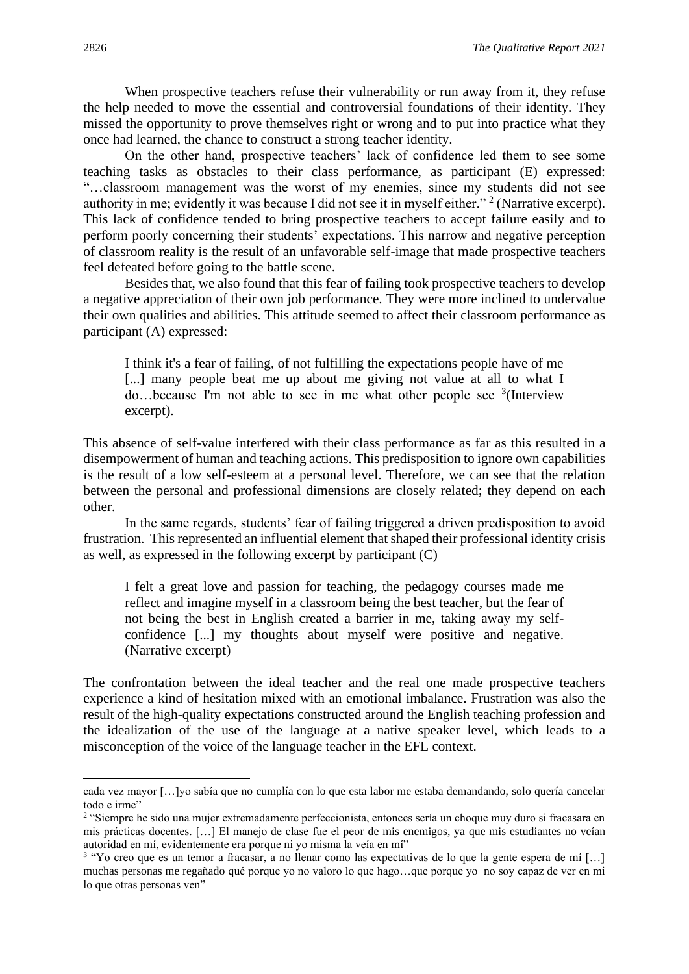When prospective teachers refuse their vulnerability or run away from it, they refuse the help needed to move the essential and controversial foundations of their identity. They missed the opportunity to prove themselves right or wrong and to put into practice what they once had learned, the chance to construct a strong teacher identity.

On the other hand, prospective teachers' lack of confidence led them to see some teaching tasks as obstacles to their class performance, as participant (E) expressed: "…classroom management was the worst of my enemies, since my students did not see authority in me; evidently it was because I did not see it in myself either."<sup>2</sup> (Narrative excerpt). This lack of confidence tended to bring prospective teachers to accept failure easily and to perform poorly concerning their students' expectations. This narrow and negative perception of classroom reality is the result of an unfavorable self-image that made prospective teachers feel defeated before going to the battle scene.

Besides that, we also found that this fear of failing took prospective teachers to develop a negative appreciation of their own job performance. They were more inclined to undervalue their own qualities and abilities. This attitude seemed to affect their classroom performance as participant (A) expressed:

I think it's a fear of failing, of not fulfilling the expectations people have of me [...] many people beat me up about me giving not value at all to what I do...because I'm not able to see in me what other people see  $3$ (Interview excerpt).

This absence of self-value interfered with their class performance as far as this resulted in a disempowerment of human and teaching actions. This predisposition to ignore own capabilities is the result of a low self-esteem at a personal level. Therefore, we can see that the relation between the personal and professional dimensions are closely related; they depend on each other.

In the same regards, students' fear of failing triggered a driven predisposition to avoid frustration. This represented an influential element that shaped their professional identity crisis as well, as expressed in the following excerpt by participant (C)

I felt a great love and passion for teaching, the pedagogy courses made me reflect and imagine myself in a classroom being the best teacher, but the fear of not being the best in English created a barrier in me, taking away my selfconfidence [...] my thoughts about myself were positive and negative. (Narrative excerpt)

The confrontation between the ideal teacher and the real one made prospective teachers experience a kind of hesitation mixed with an emotional imbalance. Frustration was also the result of the high-quality expectations constructed around the English teaching profession and the idealization of the use of the language at a native speaker level, which leads to a misconception of the voice of the language teacher in the EFL context.

cada vez mayor […]yo sabía que no cumplía con lo que esta labor me estaba demandando, solo quería cancelar todo e irme"

<sup>&</sup>lt;sup>2</sup> "Siempre he sido una mujer extremadamente perfeccionista, entonces sería un choque muy duro si fracasara en mis prácticas docentes. […] El manejo de clase fue el peor de mis enemigos, ya que mis estudiantes no veían autoridad en mí, evidentemente era porque ni yo misma la veía en mí"

<sup>&</sup>lt;sup>3</sup> "Yo creo que es un temor a fracasar, a no llenar como las expectativas de lo que la gente espera de mí [...] muchas personas me regañado qué porque yo no valoro lo que hago…que porque yo no soy capaz de ver en mi lo que otras personas ven"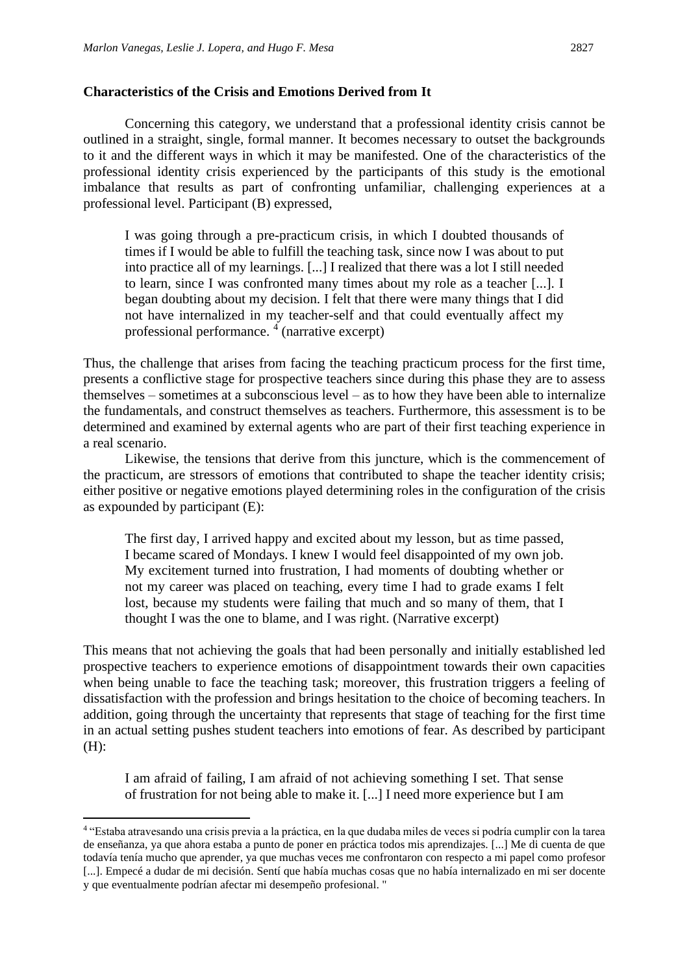#### **Characteristics of the Crisis and Emotions Derived from It**

Concerning this category, we understand that a professional identity crisis cannot be outlined in a straight, single, formal manner. It becomes necessary to outset the backgrounds to it and the different ways in which it may be manifested. One of the characteristics of the professional identity crisis experienced by the participants of this study is the emotional imbalance that results as part of confronting unfamiliar, challenging experiences at a professional level. Participant (B) expressed,

I was going through a pre-practicum crisis, in which I doubted thousands of times if I would be able to fulfill the teaching task, since now I was about to put into practice all of my learnings. [...] I realized that there was a lot I still needed to learn, since I was confronted many times about my role as a teacher [...]. I began doubting about my decision. I felt that there were many things that I did not have internalized in my teacher-self and that could eventually affect my professional performance. <sup>4</sup> (narrative excerpt)

Thus, the challenge that arises from facing the teaching practicum process for the first time, presents a conflictive stage for prospective teachers since during this phase they are to assess themselves – sometimes at a subconscious level – as to how they have been able to internalize the fundamentals, and construct themselves as teachers. Furthermore, this assessment is to be determined and examined by external agents who are part of their first teaching experience in a real scenario.

Likewise, the tensions that derive from this juncture, which is the commencement of the practicum, are stressors of emotions that contributed to shape the teacher identity crisis; either positive or negative emotions played determining roles in the configuration of the crisis as expounded by participant (E):

The first day, I arrived happy and excited about my lesson, but as time passed, I became scared of Mondays. I knew I would feel disappointed of my own job. My excitement turned into frustration, I had moments of doubting whether or not my career was placed on teaching, every time I had to grade exams I felt lost, because my students were failing that much and so many of them, that I thought I was the one to blame, and I was right. (Narrative excerpt)

This means that not achieving the goals that had been personally and initially established led prospective teachers to experience emotions of disappointment towards their own capacities when being unable to face the teaching task; moreover, this frustration triggers a feeling of dissatisfaction with the profession and brings hesitation to the choice of becoming teachers. In addition, going through the uncertainty that represents that stage of teaching for the first time in an actual setting pushes student teachers into emotions of fear. As described by participant (H):

I am afraid of failing, I am afraid of not achieving something I set. That sense of frustration for not being able to make it. [...] I need more experience but I am

<sup>4</sup> "Estaba atravesando una crisis previa a la práctica, en la que dudaba miles de veces si podría cumplir con la tarea de enseñanza, ya que ahora estaba a punto de poner en práctica todos mis aprendizajes. [...] Me di cuenta de que todavía tenía mucho que aprender, ya que muchas veces me confrontaron con respecto a mi papel como profesor [...]. Empecé a dudar de mi decisión. Sentí que había muchas cosas que no había internalizado en mi ser docente y que eventualmente podrían afectar mi desempeño profesional. "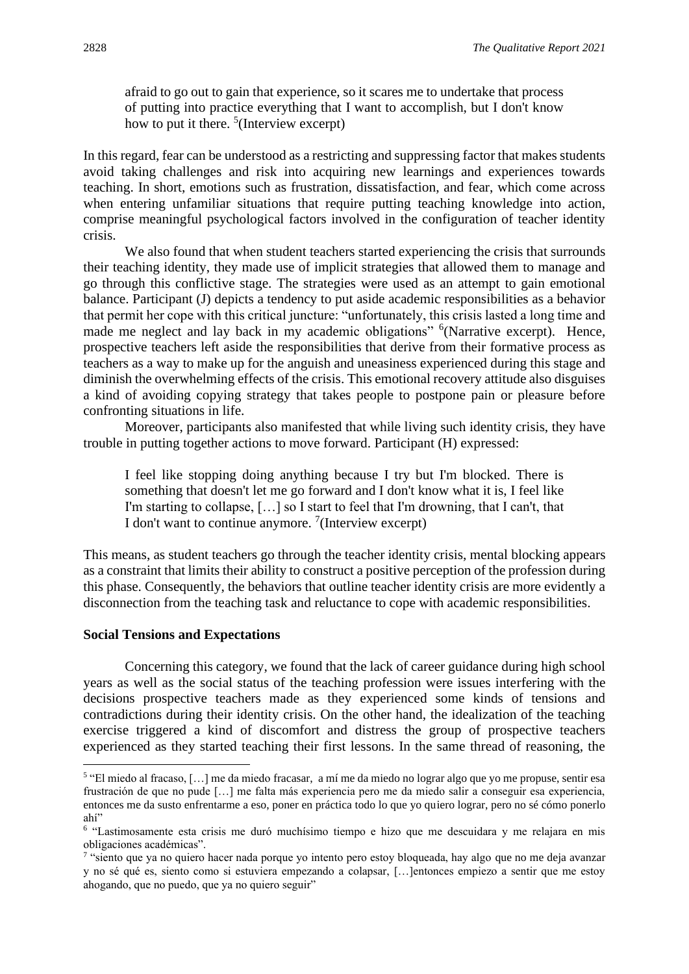afraid to go out to gain that experience, so it scares me to undertake that process of putting into practice everything that I want to accomplish, but I don't know how to put it there.  $5$ (Interview excerpt)

In this regard, fear can be understood as a restricting and suppressing factor that makes students avoid taking challenges and risk into acquiring new learnings and experiences towards teaching. In short, emotions such as frustration, dissatisfaction, and fear, which come across when entering unfamiliar situations that require putting teaching knowledge into action, comprise meaningful psychological factors involved in the configuration of teacher identity crisis.

We also found that when student teachers started experiencing the crisis that surrounds their teaching identity, they made use of implicit strategies that allowed them to manage and go through this conflictive stage. The strategies were used as an attempt to gain emotional balance. Participant (J) depicts a tendency to put aside academic responsibilities as a behavior that permit her cope with this critical juncture: "unfortunately, this crisis lasted a long time and made me neglect and lay back in my academic obligations" <sup>6</sup>(Narrative excerpt). Hence, prospective teachers left aside the responsibilities that derive from their formative process as teachers as a way to make up for the anguish and uneasiness experienced during this stage and diminish the overwhelming effects of the crisis. This emotional recovery attitude also disguises a kind of avoiding copying strategy that takes people to postpone pain or pleasure before confronting situations in life.

Moreover, participants also manifested that while living such identity crisis, they have trouble in putting together actions to move forward. Participant (H) expressed:

I feel like stopping doing anything because I try but I'm blocked. There is something that doesn't let me go forward and I don't know what it is, I feel like I'm starting to collapse, […] so I start to feel that I'm drowning, that I can't, that I don't want to continue anymore.  $7$ (Interview excerpt)

This means, as student teachers go through the teacher identity crisis, mental blocking appears as a constraint that limits their ability to construct a positive perception of the profession during this phase. Consequently, the behaviors that outline teacher identity crisis are more evidently a disconnection from the teaching task and reluctance to cope with academic responsibilities.

#### **Social Tensions and Expectations**

Concerning this category, we found that the lack of career guidance during high school years as well as the social status of the teaching profession were issues interfering with the decisions prospective teachers made as they experienced some kinds of tensions and contradictions during their identity crisis. On the other hand, the idealization of the teaching exercise triggered a kind of discomfort and distress the group of prospective teachers experienced as they started teaching their first lessons. In the same thread of reasoning, the

<sup>5</sup> "El miedo al fracaso, […] me da miedo fracasar, a mí me da miedo no lograr algo que yo me propuse, sentir esa frustración de que no pude […] me falta más experiencia pero me da miedo salir a conseguir esa experiencia, entonces me da susto enfrentarme a eso, poner en práctica todo lo que yo quiero lograr, pero no sé cómo ponerlo ahí"

<sup>&</sup>lt;sup>6</sup> "Lastimosamente esta crisis me duró muchísimo tiempo e hizo que me descuidara y me relajara en mis obligaciones académicas".

<sup>&</sup>lt;sup>7</sup> "siento que ya no quiero hacer nada porque yo intento pero estoy bloqueada, hay algo que no me deja avanzar y no sé qué es, siento como si estuviera empezando a colapsar, […]entonces empiezo a sentir que me estoy ahogando, que no puedo, que ya no quiero seguir"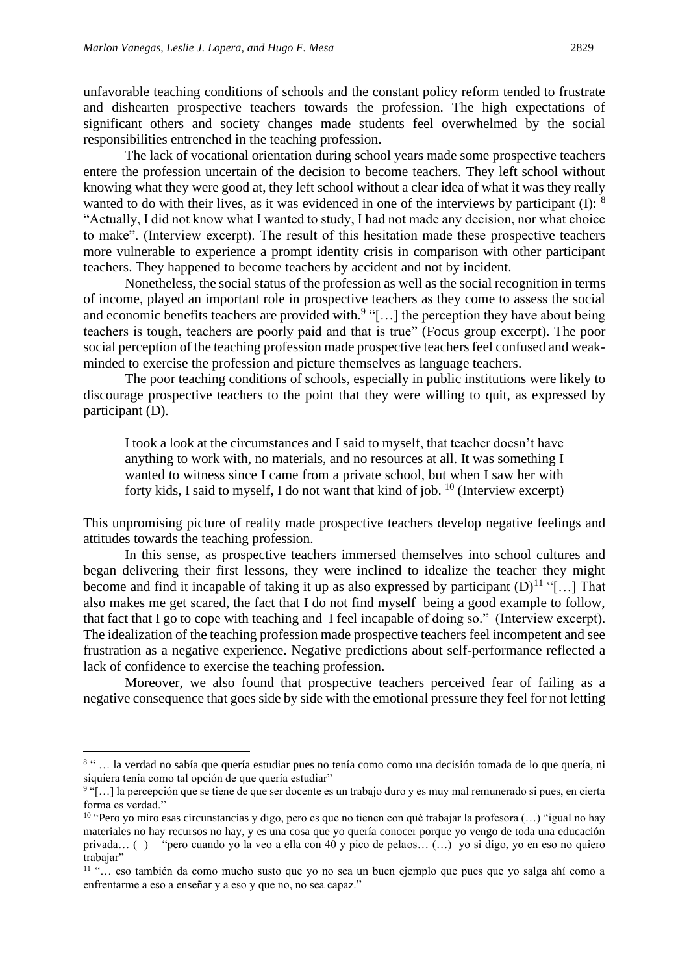unfavorable teaching conditions of schools and the constant policy reform tended to frustrate and dishearten prospective teachers towards the profession. The high expectations of significant others and society changes made students feel overwhelmed by the social responsibilities entrenched in the teaching profession.

The lack of vocational orientation during school years made some prospective teachers entere the profession uncertain of the decision to become teachers. They left school without knowing what they were good at, they left school without a clear idea of what it was they really wanted to do with their lives, as it was evidenced in one of the interviews by participant  $(I)$ :  $8$ "Actually, I did not know what I wanted to study, I had not made any decision, nor what choice to make". (Interview excerpt). The result of this hesitation made these prospective teachers more vulnerable to experience a prompt identity crisis in comparison with other participant teachers. They happened to become teachers by accident and not by incident.

Nonetheless, the social status of the profession as well as the social recognition in terms of income, played an important role in prospective teachers as they come to assess the social and economic benefits teachers are provided with.<sup>9</sup> "[...] the perception they have about being teachers is tough, teachers are poorly paid and that is true" (Focus group excerpt). The poor social perception of the teaching profession made prospective teachers feel confused and weakminded to exercise the profession and picture themselves as language teachers.

The poor teaching conditions of schools, especially in public institutions were likely to discourage prospective teachers to the point that they were willing to quit, as expressed by participant (D).

I took a look at the circumstances and I said to myself, that teacher doesn't have anything to work with, no materials, and no resources at all. It was something I wanted to witness since I came from a private school, but when I saw her with forty kids, I said to myself, I do not want that kind of job. <sup>10</sup> (Interview excerpt)

This unpromising picture of reality made prospective teachers develop negative feelings and attitudes towards the teaching profession.

In this sense, as prospective teachers immersed themselves into school cultures and began delivering their first lessons, they were inclined to idealize the teacher they might become and find it incapable of taking it up as also expressed by participant  $(D)^{11}$  "[...] That also makes me get scared, the fact that I do not find myself being a good example to follow, that fact that I go to cope with teaching and I feel incapable of doing so." (Interview excerpt). The idealization of the teaching profession made prospective teachers feel incompetent and see frustration as a negative experience. Negative predictions about self-performance reflected a lack of confidence to exercise the teaching profession.

Moreover, we also found that prospective teachers perceived fear of failing as a negative consequence that goes side by side with the emotional pressure they feel for not letting

<sup>&</sup>lt;sup>8</sup> " ... la verdad no sabía que quería estudiar pues no tenía como como una decisión tomada de lo que quería, ni siquiera tenía como tal opción de que quería estudiar"

<sup>&</sup>lt;sup>9</sup>"[...] la percepción que se tiene de que ser docente es un trabajo duro y es muy mal remunerado si pues, en cierta forma es verdad."

<sup>&</sup>lt;sup>10</sup> "Pero yo miro esas circunstancias y digo, pero es que no tienen con qué trabajar la profesora (...) "igual no hay materiales no hay recursos no hay, y es una cosa que yo quería conocer porque yo vengo de toda una educación privada… ( ) "pero cuando yo la veo a ella con 40 y pico de pelaos… (…) yo si digo, yo en eso no quiero trabaiar"

<sup>11</sup> "… eso también da como mucho susto que yo no sea un buen ejemplo que pues que yo salga ahí como a enfrentarme a eso a enseñar y a eso y que no, no sea capaz."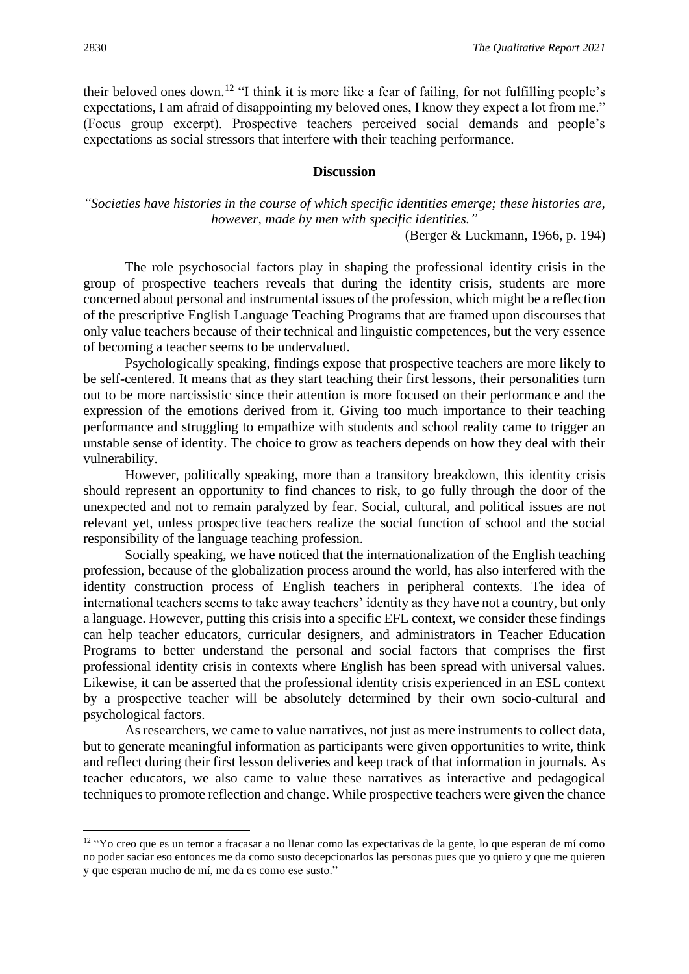their beloved ones down.<sup>12</sup> "I think it is more like a fear of failing, for not fulfilling people's expectations, I am afraid of disappointing my beloved ones, I know they expect a lot from me." (Focus group excerpt). Prospective teachers perceived social demands and people's expectations as social stressors that interfere with their teaching performance.

### **Discussion**

# *"Societies have histories in the course of which specific identities emerge; these histories are, however, made by men with specific identities."*

(Berger & Luckmann, 1966, p. 194)

The role psychosocial factors play in shaping the professional identity crisis in the group of prospective teachers reveals that during the identity crisis, students are more concerned about personal and instrumental issues of the profession, which might be a reflection of the prescriptive English Language Teaching Programs that are framed upon discourses that only value teachers because of their technical and linguistic competences, but the very essence of becoming a teacher seems to be undervalued.

Psychologically speaking, findings expose that prospective teachers are more likely to be self-centered. It means that as they start teaching their first lessons, their personalities turn out to be more narcissistic since their attention is more focused on their performance and the expression of the emotions derived from it. Giving too much importance to their teaching performance and struggling to empathize with students and school reality came to trigger an unstable sense of identity. The choice to grow as teachers depends on how they deal with their vulnerability.

However, politically speaking, more than a transitory breakdown, this identity crisis should represent an opportunity to find chances to risk, to go fully through the door of the unexpected and not to remain paralyzed by fear. Social, cultural, and political issues are not relevant yet, unless prospective teachers realize the social function of school and the social responsibility of the language teaching profession.

Socially speaking, we have noticed that the internationalization of the English teaching profession, because of the globalization process around the world, has also interfered with the identity construction process of English teachers in peripheral contexts. The idea of international teachers seems to take away teachers' identity as they have not a country, but only a language. However, putting this crisis into a specific EFL context, we consider these findings can help teacher educators, curricular designers, and administrators in Teacher Education Programs to better understand the personal and social factors that comprises the first professional identity crisis in contexts where English has been spread with universal values. Likewise, it can be asserted that the professional identity crisis experienced in an ESL context by a prospective teacher will be absolutely determined by their own socio-cultural and psychological factors.

As researchers, we came to value narratives, not just as mere instruments to collect data, but to generate meaningful information as participants were given opportunities to write, think and reflect during their first lesson deliveries and keep track of that information in journals. As teacher educators, we also came to value these narratives as interactive and pedagogical techniques to promote reflection and change. While prospective teachers were given the chance

<sup>&</sup>lt;sup>12</sup> "Yo creo que es un temor a fracasar a no llenar como las expectativas de la gente, lo que esperan de mí como no poder saciar eso entonces me da como susto decepcionarlos las personas pues que yo quiero y que me quieren y que esperan mucho de mí, me da es como ese susto."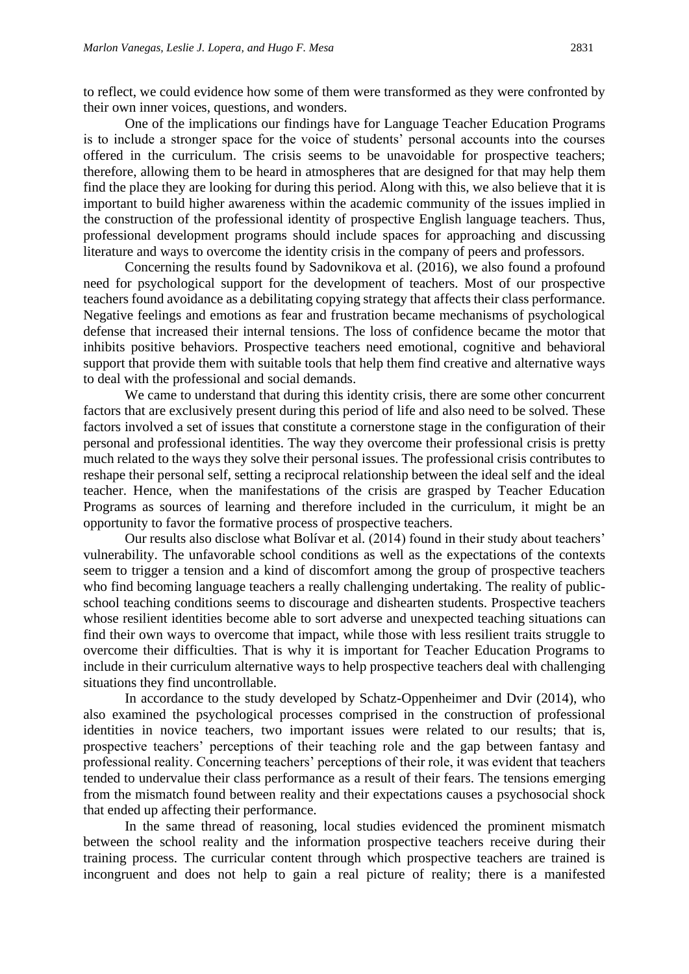to reflect, we could evidence how some of them were transformed as they were confronted by their own inner voices, questions, and wonders.

One of the implications our findings have for Language Teacher Education Programs is to include a stronger space for the voice of students' personal accounts into the courses offered in the curriculum. The crisis seems to be unavoidable for prospective teachers; therefore, allowing them to be heard in atmospheres that are designed for that may help them find the place they are looking for during this period. Along with this, we also believe that it is important to build higher awareness within the academic community of the issues implied in the construction of the professional identity of prospective English language teachers. Thus, professional development programs should include spaces for approaching and discussing literature and ways to overcome the identity crisis in the company of peers and professors.

Concerning the results found by Sadovnikova et al. (2016), we also found a profound need for psychological support for the development of teachers. Most of our prospective teachers found avoidance as a debilitating copying strategy that affects their class performance. Negative feelings and emotions as fear and frustration became mechanisms of psychological defense that increased their internal tensions. The loss of confidence became the motor that inhibits positive behaviors. Prospective teachers need emotional, cognitive and behavioral support that provide them with suitable tools that help them find creative and alternative ways to deal with the professional and social demands.

We came to understand that during this identity crisis, there are some other concurrent factors that are exclusively present during this period of life and also need to be solved. These factors involved a set of issues that constitute a cornerstone stage in the configuration of their personal and professional identities. The way they overcome their professional crisis is pretty much related to the ways they solve their personal issues. The professional crisis contributes to reshape their personal self, setting a reciprocal relationship between the ideal self and the ideal teacher. Hence, when the manifestations of the crisis are grasped by Teacher Education Programs as sources of learning and therefore included in the curriculum, it might be an opportunity to favor the formative process of prospective teachers.

Our results also disclose what Bolívar et al. (2014) found in their study about teachers' vulnerability. The unfavorable school conditions as well as the expectations of the contexts seem to trigger a tension and a kind of discomfort among the group of prospective teachers who find becoming language teachers a really challenging undertaking. The reality of publicschool teaching conditions seems to discourage and dishearten students. Prospective teachers whose resilient identities become able to sort adverse and unexpected teaching situations can find their own ways to overcome that impact, while those with less resilient traits struggle to overcome their difficulties. That is why it is important for Teacher Education Programs to include in their curriculum alternative ways to help prospective teachers deal with challenging situations they find uncontrollable.

In accordance to the study developed by Schatz-Oppenheimer and Dvir (2014), who also examined the psychological processes comprised in the construction of professional identities in novice teachers, two important issues were related to our results; that is, prospective teachers' perceptions of their teaching role and the gap between fantasy and professional reality. Concerning teachers' perceptions of their role, it was evident that teachers tended to undervalue their class performance as a result of their fears. The tensions emerging from the mismatch found between reality and their expectations causes a psychosocial shock that ended up affecting their performance.

In the same thread of reasoning, local studies evidenced the prominent mismatch between the school reality and the information prospective teachers receive during their training process. The curricular content through which prospective teachers are trained is incongruent and does not help to gain a real picture of reality; there is a manifested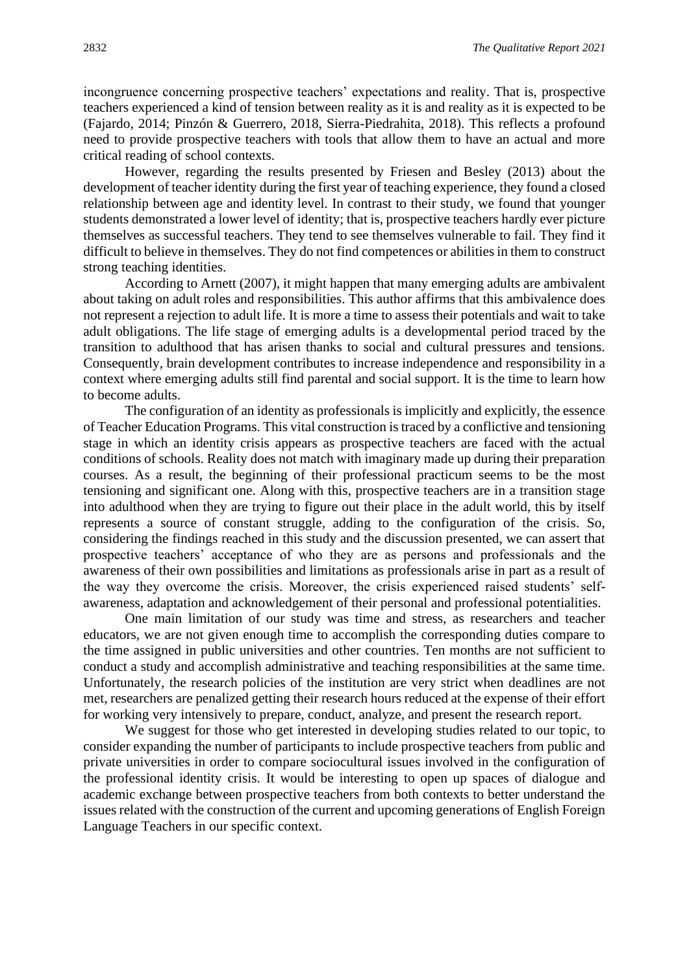incongruence concerning prospective teachers' expectations and reality. That is, prospective teachers experienced a kind of tension between reality as it is and reality as it is expected to be (Fajardo, 2014; Pinzón & Guerrero, 2018, Sierra-Piedrahita, 2018). This reflects a profound need to provide prospective teachers with tools that allow them to have an actual and more critical reading of school contexts.

However, regarding the results presented by Friesen and Besley (2013) about the development of teacher identity during the first year of teaching experience, they found a closed relationship between age and identity level. In contrast to their study, we found that younger students demonstrated a lower level of identity; that is, prospective teachers hardly ever picture themselves as successful teachers. They tend to see themselves vulnerable to fail. They find it difficult to believe in themselves. They do not find competences or abilities in them to construct strong teaching identities.

According to Arnett (2007), it might happen that many emerging adults are ambivalent about taking on adult roles and responsibilities. This author affirms that this ambivalence does not represent a rejection to adult life. It is more a time to assess their potentials and wait to take adult obligations. The life stage of emerging adults is a developmental period traced by the transition to adulthood that has arisen thanks to social and cultural pressures and tensions. Consequently, brain development contributes to increase independence and responsibility in a context where emerging adults still find parental and social support. It is the time to learn how to become adults.

The configuration of an identity as professionals is implicitly and explicitly, the essence of Teacher Education Programs. This vital construction is traced by a conflictive and tensioning stage in which an identity crisis appears as prospective teachers are faced with the actual conditions of schools. Reality does not match with imaginary made up during their preparation courses. As a result, the beginning of their professional practicum seems to be the most tensioning and significant one. Along with this, prospective teachers are in a transition stage into adulthood when they are trying to figure out their place in the adult world, this by itself represents a source of constant struggle, adding to the configuration of the crisis. So, considering the findings reached in this study and the discussion presented, we can assert that prospective teachers' acceptance of who they are as persons and professionals and the awareness of their own possibilities and limitations as professionals arise in part as a result of the way they overcome the crisis. Moreover, the crisis experienced raised students' selfawareness, adaptation and acknowledgement of their personal and professional potentialities.

One main limitation of our study was time and stress, as researchers and teacher educators, we are not given enough time to accomplish the corresponding duties compare to the time assigned in public universities and other countries. Ten months are not sufficient to conduct a study and accomplish administrative and teaching responsibilities at the same time. Unfortunately, the research policies of the institution are very strict when deadlines are not met, researchers are penalized getting their research hours reduced at the expense of their effort for working very intensively to prepare, conduct, analyze, and present the research report.

We suggest for those who get interested in developing studies related to our topic, to consider expanding the number of participants to include prospective teachers from public and private universities in order to compare sociocultural issues involved in the configuration of the professional identity crisis. It would be interesting to open up spaces of dialogue and academic exchange between prospective teachers from both contexts to better understand the issues related with the construction of the current and upcoming generations of English Foreign Language Teachers in our specific context.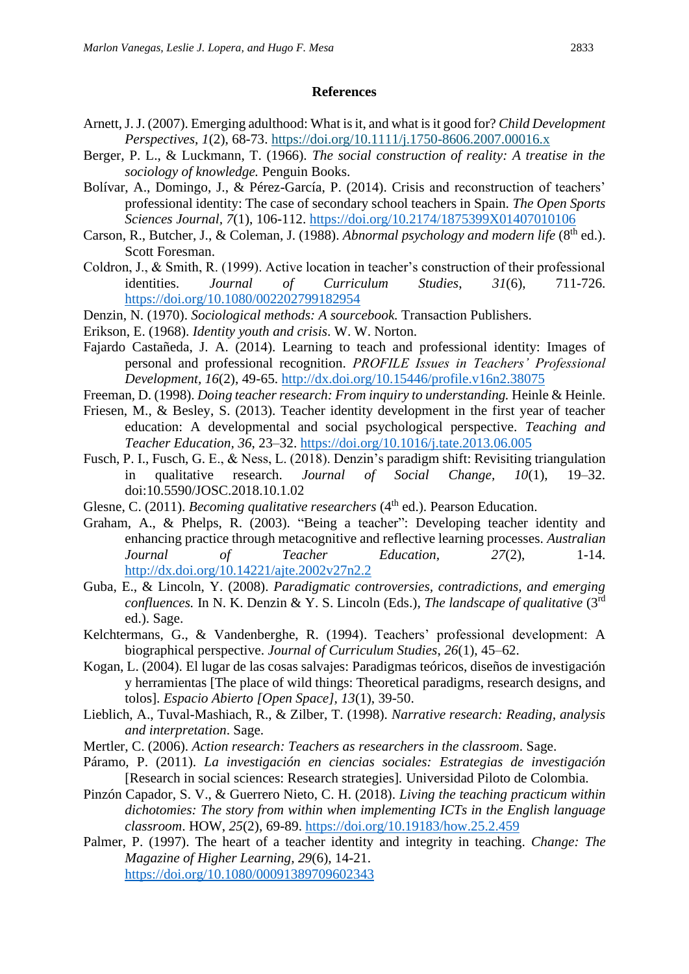#### **References**

- Arnett, J. J. (2007). Emerging adulthood: What is it, and what is it good for? *Child Development Perspectives*, *1*(2), 68-73. <https://doi.org/10.1111/j.1750-8606.2007.00016.x>
- Berger, P. L., & Luckmann, T. (1966). *The social construction of reality: A treatise in the sociology of knowledge.* Penguin Books.
- Bolívar, A., Domingo, J., & Pérez-García, P. (2014). Crisis and reconstruction of teachers' professional identity: The case of secondary school teachers in Spain. *The Open Sports Sciences Journal, 7*(1), 106-112.<https://doi.org/10.2174/1875399X01407010106>
- Carson, R., Butcher, J., & Coleman, J. (1988). *Abnormal psychology and modern life* (8<sup>th</sup> ed.). Scott Foresman.
- Coldron, J., & Smith, R. (1999). Active location in teacher's construction of their professional identities. *Journal of Curriculum Studies*, *31*(6), 711-726. <https://doi.org/10.1080/002202799182954>
- Denzin, N. (1970). *Sociological methods: A sourcebook.* Transaction Publishers.
- Erikson, E. (1968). *Identity youth and crisis*. W. W. Norton.
- Fajardo Castañeda, J. A. (2014). Learning to teach and professional identity: Images of personal and professional recognition. *PROFILE Issues in Teachers' Professional Development, 16*(2), 49-65.<http://dx.doi.org/10.15446/profile.v16n2.38075>
- Freeman, D. (1998). *Doing teacher research: From inquiry to understanding*. Heinle & Heinle.
- Friesen, M., & Besley, S. (2013). Teacher identity development in the first year of teacher education: A developmental and social psychological perspective. *Teaching and Teacher Education, 36*, 23–32.<https://doi.org/10.1016/j.tate.2013.06.005>
- Fusch, P. I., Fusch, G. E., & Ness, L. (2018). Denzin's paradigm shift: Revisiting triangulation in qualitative research. *Journal of Social Change, 10*(1), 19–32. doi:10.5590/JOSC.2018.10.1.02
- Glesne, C. (2011). *Becoming qualitative researchers* (4<sup>th</sup> ed.). Pearson Education.
- Graham, A., & Phelps, R. (2003). "Being a teacher": Developing teacher identity and enhancing practice through metacognitive and reflective learning processes. *Australian Journal of Teacher Education, 27*(2), 1-14. <http://dx.doi.org/10.14221/ajte.2002v27n2.2>
- Guba, E., & Lincoln, Y. (2008). *Paradigmatic controversies, contradictions, and emerging*  confluences. In N. K. Denzin & Y. S. Lincoln (Eds.), *The landscape of qualitative* (3<sup>rd</sup>) ed.). Sage.
- Kelchtermans, G., & Vandenberghe, R. (1994). Teachers' professional development: A biographical perspective. *Journal of Curriculum Studies*, *26*(1), 45–62.
- Kogan, L. (2004). El lugar de las cosas salvajes: Paradigmas teóricos, diseños de investigación y herramientas [The place of wild things: Theoretical paradigms, research designs, and tolos]. *Espacio Abierto [Open Space], 13*(1), 39-50.
- Lieblich, A., Tuval-Mashiach, R., & Zilber, T. (1998). *Narrative research: Reading, analysis and interpretation*. Sage.
- Mertler, C. (2006). *Action research: Teachers as researchers in the classroom*. Sage.
- Páramo, P. (2011). *La investigación en ciencias sociales: Estrategias de investigación* [Research in social sciences: Research strategies]*.* Universidad Piloto de Colombia.
- Pinzón Capador, S. V., & Guerrero Nieto, C. H. (2018). *Living the teaching practicum within dichotomies: The story from within when implementing ICTs in the English language classroom*. HOW, *25*(2), 69-89.<https://doi.org/10.19183/how.25.2.459>
- Palmer, P. (1997). The heart of a teacher identity and integrity in teaching. *Change: The Magazine of Higher Learning, 29*(6), 14-21. <https://doi.org/10.1080/00091389709602343>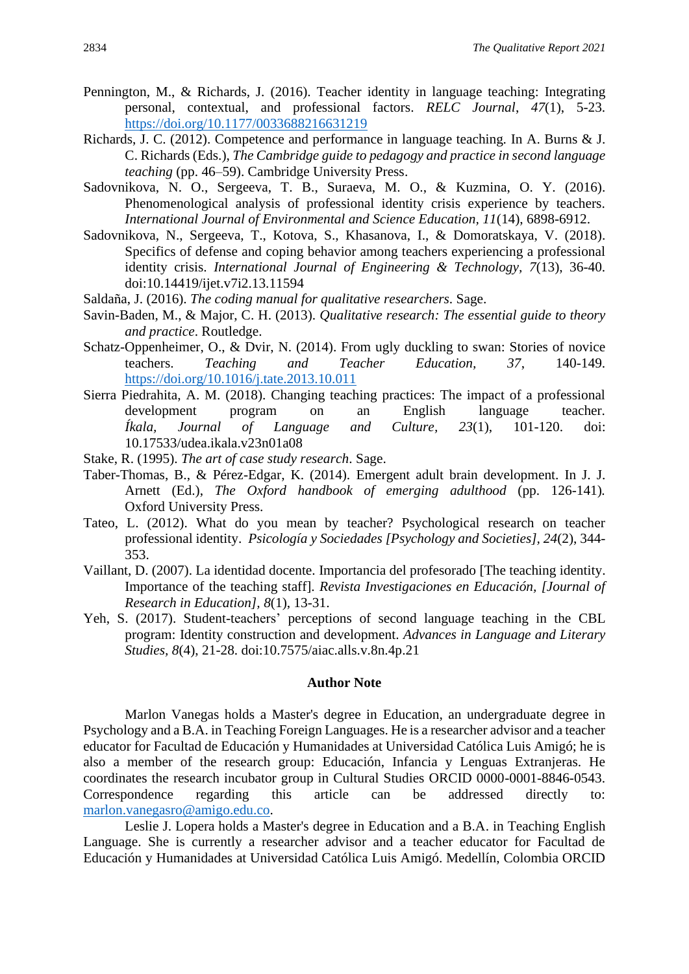- Pennington, M., & Richards, J. (2016). Teacher identity in language teaching: Integrating personal, contextual, and professional factors. *RELC Journal*, *47*(1), 5-23. [https://doi.org/10.1177/0033688216631219](https://doi.org/10.1177%2F0033688216631219)
- Richards, J. C. (2012). Competence and performance in language teaching*.* In A. Burns & J. C. Richards (Eds.), *The Cambridge guide to pedagogy and practice in second language teaching* (pp. 46–59). Cambridge University Press.
- Sadovnikova, N. O., Sergeeva, T. B., Suraeva, M. O., & Kuzmina, O. Y. (2016). Phenomenological analysis of professional identity crisis experience by teachers. *International Journal of Environmental and Science Education, 11*(14), 6898-6912.
- Sadovnikova, N., Sergeeva, T., Kotova, S., Khasanova, I., & Domoratskaya, V. (2018). Specifics of defense and coping behavior among teachers experiencing a professional identity crisis. *International Journal of Engineering & Technology, 7*(13), 36-40. doi:10.14419/ijet.v7i2.13.11594
- Saldaña, J. (2016). *The coding manual for qualitative researchers*. Sage.
- Savin-Baden, M., & Major, C. H. (2013). *Qualitative research: The essential guide to theory and practice*. Routledge.
- Schatz-Oppenheimer, O., & Dvir, N. (2014). From ugly duckling to swan: Stories of novice teachers. *Teaching and Teacher Education, 37*, 140-149. <https://doi.org/10.1016/j.tate.2013.10.011>
- Sierra Piedrahita, A. M. (2018). Changing teaching practices: The impact of a professional development program on an English language teacher. *Íkala, Journal of Language and Culture, 23*(1), 101-120. doi: 10.17533/udea.ikala.v23n01a08
- Stake, R. (1995). *The art of case study research*. Sage.
- Taber-Thomas, B., & Pérez-Edgar, K. (2014). Emergent adult brain development. In J. J. Arnett (Ed.), *The Oxford handbook of emerging adulthood* (pp. 126-141)*.* Oxford University Press.
- Tateo, L. (2012). What do you mean by teacher? Psychological research on teacher professional identity. *Psicología y Sociedades [Psychology and Societies], 24*(2), 344- 353.
- Vaillant, D. (2007). La identidad docente. Importancia del profesorado [The teaching identity. Importance of the teaching staff]. *Revista Investigaciones en Educación, [Journal of Research in Education], 8*(1), 13-31.
- Yeh, S. (2017). Student-teachers' perceptions of second language teaching in the CBL program: Identity construction and development. *Advances in Language and Literary Studies, 8*(4), 21-28. doi:10.7575/aiac.alls.v.8n.4p.21

#### **Author Note**

Marlon Vanegas holds a Master's degree in Education, an undergraduate degree in Psychology and a B.A. in Teaching Foreign Languages. He is a researcher advisor and a teacher educator for Facultad de Educación y Humanidades at Universidad Católica Luis Amigó; he is also a member of the research group: Educación, Infancia y Lenguas Extranjeras. He coordinates the research incubator group in Cultural Studies ORCID 0000-0001-8846-0543. Correspondence regarding this article can be addressed directly to: [marlon.vanegasro@amigo.edu.co.](mailto:marlon.vanegasro@amigo.edu.co)

Leslie J. Lopera holds a Master's degree in Education and a B.A. in Teaching English Language. She is currently a researcher advisor and a teacher educator for Facultad de Educación y Humanidades at Universidad Católica Luis Amigó. Medellín, Colombia ORCID